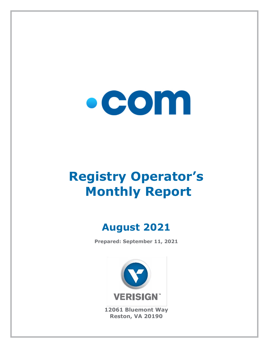

# **Registry Operator's Monthly Report**

# **August 2021**

**Prepared: September 11, 2021**



**12061 Bluemont Way Reston, VA 20190**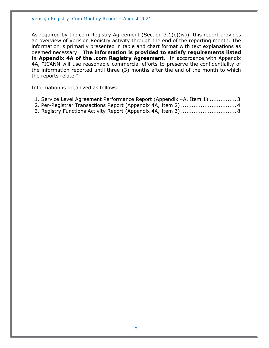As required by the.com Registry Agreement (Section 3.1(c)(iv)), this report provides an overview of Verisign Registry activity through the end of the reporting month. The information is primarily presented in table and chart format with text explanations as deemed necessary. **The information is provided to satisfy requirements listed in Appendix 4A of the .com Registry Agreement.** In accordance with Appendix 4A, "ICANN will use reasonable commercial efforts to preserve the confidentiality of the information reported until three (3) months after the end of the month to which the reports relate."

Information is organized as follows:

- [1. Service Level Agreement Performance Report \(Appendix 4A, Item 1\)](#page-2-0) ...............3
- [2. Per-Registrar Transactions Report \(Appendix 4A,](#page-3-0) Item 2) ...............................4
- [3. Registry Functions Activity Report \(Appendix 4A, Item 3\)](#page-7-0) ...............................8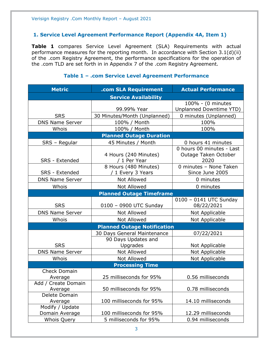#### <span id="page-2-0"></span>**1. Service Level Agreement Performance Report (Appendix 4A, Item 1)**

**Table 1** compares Service Level Agreement (SLA) Requirements with actual performance measures for the reporting month. In accordance with Section 3.1(d)(ii) of the .com Registry Agreement, the performance specifications for the operation of the .com TLD are set forth in in Appendix 7 of the .com Registry Agreement.

| <b>Metric</b>                      | .com SLA Requirement                       | <b>Actual Performance</b>                                 |  |
|------------------------------------|--------------------------------------------|-----------------------------------------------------------|--|
| <b>Service Availability</b>        |                                            |                                                           |  |
|                                    |                                            | 100% - (0 minutes                                         |  |
|                                    | 99.99% Year                                | Unplanned Downtime YTD)                                   |  |
| <b>SRS</b>                         | 30 Minutes/Month (Unplanned)               | 0 minutes (Unplanned)                                     |  |
| <b>DNS Name Server</b>             | 100% / Month                               | 100%                                                      |  |
| Whois                              | 100% / Month                               | 100%                                                      |  |
|                                    | <b>Planned Outage Duration</b>             |                                                           |  |
| SRS - Regular                      | 45 Minutes / Month                         | 0 hours 41 minutes                                        |  |
| SRS - Extended                     | 4 Hours (240 Minutes)<br>/ 1 Per Year      | 0 hours 00 minutes - Last<br>Outage Taken October<br>2020 |  |
| <b>SRS</b> - Extended              | 8 Hours (480 Minutes)<br>/ 1 Every 3 Years | 0 minutes - None Taken<br>Since June 2005                 |  |
| <b>DNS Name Server</b>             | Not Allowed                                | 0 minutes                                                 |  |
| Whois                              | <b>Not Allowed</b>                         | 0 minutes                                                 |  |
| <b>Planned Outage Timeframe</b>    |                                            |                                                           |  |
|                                    |                                            | 0100 - 0141 UTC Sunday                                    |  |
| <b>SRS</b>                         | 0100 - 0900 UTC Sunday                     | 08/22/2021                                                |  |
| <b>DNS Name Server</b>             | <b>Not Allowed</b>                         | Not Applicable                                            |  |
| Whois                              | Not Allowed                                | Not Applicable                                            |  |
| <b>Planned Outage Notification</b> |                                            |                                                           |  |
|                                    | 30 Days General Maintenance                | 07/22/2021                                                |  |
| <b>SRS</b>                         | 90 Days Updates and<br>Upgrades            | Not Applicable                                            |  |
| <b>DNS Name Server</b>             | Not Allowed                                | Not Applicable                                            |  |
| Whois                              | Not Allowed                                | Not Applicable                                            |  |
| <b>Processing Time</b>             |                                            |                                                           |  |
| <b>Check Domain</b>                |                                            |                                                           |  |
| Average                            | 25 milliseconds for 95%                    | 0.56 milliseconds                                         |  |
| Add / Create Domain<br>Average     | 50 milliseconds for 95%                    | 0.78 milliseconds                                         |  |
| Delete Domain                      |                                            |                                                           |  |
| Average                            | 100 milliseconds for 95%                   | 14.10 milliseconds                                        |  |
| Modify / Update<br>Domain Average  | 100 milliseconds for 95%                   | 12.29 milliseconds                                        |  |
| <b>Whois Query</b>                 | 5 milliseconds for 95%                     | 0.94 milliseconds                                         |  |

#### **Table 1 – .com Service Level Agreement Performance**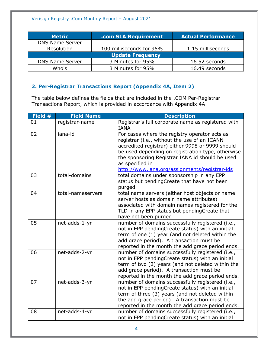| <b>Metric</b>           | .com SLA Requirement     | <b>Actual Performance</b> |  |
|-------------------------|--------------------------|---------------------------|--|
| <b>DNS Name Server</b>  |                          |                           |  |
| Resolution              | 100 milliseconds for 95% | 1.15 milliseconds         |  |
| <b>Update Frequency</b> |                          |                           |  |
| <b>DNS Name Server</b>  | 3 Minutes for 95%        | 16.52 seconds             |  |
| Whois                   | 3 Minutes for 95%        | 16.49 seconds             |  |

## <span id="page-3-0"></span>**2. Per-Registrar Transactions Report (Appendix 4A, Item 2)**

The table below defines the fields that are included in the .COM Per-Registrar Transactions Report, which is provided in accordance with Appendix 4A.

| Field # | <b>Field Name</b> | <b>Description</b>                                                                                                                                                                                                                                                                                                            |
|---------|-------------------|-------------------------------------------------------------------------------------------------------------------------------------------------------------------------------------------------------------------------------------------------------------------------------------------------------------------------------|
| 01      | registrar-name    | Registrar's full corporate name as registered with<br><b>IANA</b>                                                                                                                                                                                                                                                             |
| 02      | iana-id           | For cases where the registry operator acts as<br>registrar (i.e., without the use of an ICANN<br>accredited registrar) either 9998 or 9999 should<br>be used depending on registration type, otherwise<br>the sponsoring Registrar IANA id should be used<br>as specified in<br>http://www.iana.org/assignments/registrar-ids |
| 03      | total-domains     | total domains under sponsorship in any EPP<br>status but pendingCreate that have not been<br>purged                                                                                                                                                                                                                           |
| 04      | total-nameservers | total name servers (either host objects or name<br>server hosts as domain name attributes)<br>associated with domain names registered for the<br>TLD in any EPP status but pendingCreate that<br>have not been purged                                                                                                         |
| 05      | net-adds-1-yr     | number of domains successfully registered (i.e.,<br>not in EPP pendingCreate status) with an initial<br>term of one (1) year (and not deleted within the<br>add grace period). A transaction must be<br>reported in the month the add grace period ends.                                                                      |
| 06      | net-adds-2-yr     | number of domains successfully registered (i.e.,<br>not in EPP pendingCreate status) with an initial<br>term of two (2) years (and not deleted within the<br>add grace period). A transaction must be<br>reported in the month the add grace period ends.                                                                     |
| 07      | net-adds-3-yr     | number of domains successfully registered (i.e.,<br>not in EPP pendingCreate status) with an initial<br>term of three (3) years (and not deleted within<br>the add grace period). A transaction must be<br>reported in the month the add grace period ends.                                                                   |
| 08      | net-adds-4-yr     | number of domains successfully registered (i.e.,<br>not in EPP pendingCreate status) with an initial                                                                                                                                                                                                                          |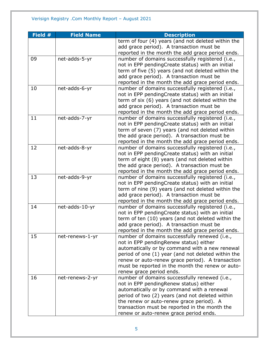| Field # | <b>Field Name</b> | <b>Description</b>                                 |
|---------|-------------------|----------------------------------------------------|
|         |                   | term of four (4) years (and not deleted within the |
|         |                   | add grace period). A transaction must be           |
|         |                   | reported in the month the add grace period ends.   |
| 09      | net-adds-5-yr     | number of domains successfully registered (i.e.,   |
|         |                   | not in EPP pendingCreate status) with an initial   |
|         |                   | term of five (5) years (and not deleted within the |
|         |                   | add grace period). A transaction must be           |
|         |                   | reported in the month the add grace period ends.   |
| 10      | net-adds-6-yr     | number of domains successfully registered (i.e.,   |
|         |                   | not in EPP pendingCreate status) with an initial   |
|         |                   | term of six (6) years (and not deleted within the  |
|         |                   | add grace period). A transaction must be           |
|         |                   | reported in the month the add grace period ends.   |
| 11      | net-adds-7-yr     | number of domains successfully registered (i.e.,   |
|         |                   | not in EPP pendingCreate status) with an initial   |
|         |                   | term of seven (7) years (and not deleted within    |
|         |                   | the add grace period). A transaction must be       |
|         |                   | reported in the month the add grace period ends.   |
| 12      | net-adds-8-yr     | number of domains successfully registered (i.e.,   |
|         |                   | not in EPP pendingCreate status) with an initial   |
|         |                   | term of eight (8) years (and not deleted within    |
|         |                   | the add grace period). A transaction must be       |
|         |                   | reported in the month the add grace period ends.   |
| 13      | net-adds-9-yr     | number of domains successfully registered (i.e.,   |
|         |                   | not in EPP pendingCreate status) with an initial   |
|         |                   | term of nine (9) years (and not deleted within the |
|         |                   | add grace period). A transaction must be           |
|         |                   | reported in the month the add grace period ends.   |
| 14      | net-adds-10-yr    | number of domains successfully registered (i.e.,   |
|         |                   | not in EPP pendingCreate status) with an initial   |
|         |                   | term of ten (10) years (and not deleted within the |
|         |                   | add grace period). A transaction must be           |
|         |                   | reported in the month the add grace period ends.   |
| 15      | net-renews-1-yr   | number of domains successfully renewed (i.e.,      |
|         |                   | not in EPP pendingRenew status) either             |
|         |                   | automatically or by command with a new renewal     |
|         |                   | period of one (1) year (and not deleted within the |
|         |                   | renew or auto-renew grace period). A transaction   |
|         |                   | must be reported in the month the renew or auto-   |
|         |                   | renew grace period ends.                           |
| 16      | net-renews-2-yr   | number of domains successfully renewed (i.e.,      |
|         |                   | not in EPP pending Renew status) either            |
|         |                   | automatically or by command with a renewal         |
|         |                   | period of two (2) years (and not deleted within    |
|         |                   | the renew or auto-renew grace period). A           |
|         |                   | transaction must be reported in the month the      |
|         |                   | renew or auto-renew grace period ends.             |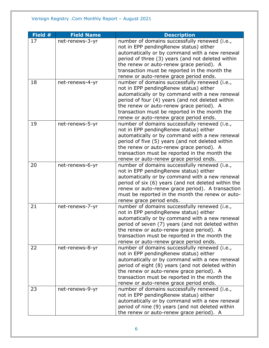| Field # | <b>Field Name</b> | <b>Description</b>                                                                                                                                                                                                                                                                                                                    |
|---------|-------------------|---------------------------------------------------------------------------------------------------------------------------------------------------------------------------------------------------------------------------------------------------------------------------------------------------------------------------------------|
| 17      | net-renews-3-yr   | number of domains successfully renewed (i.e.,<br>not in EPP pendingRenew status) either<br>automatically or by command with a new renewal                                                                                                                                                                                             |
|         |                   | period of three (3) years (and not deleted within<br>the renew or auto-renew grace period). A<br>transaction must be reported in the month the                                                                                                                                                                                        |
|         |                   | renew or auto-renew grace period ends.                                                                                                                                                                                                                                                                                                |
| 18      | net-renews-4-yr   | number of domains successfully renewed (i.e.,<br>not in EPP pendingRenew status) either<br>automatically or by command with a new renewal<br>period of four (4) years (and not deleted within<br>the renew or auto-renew grace period). A<br>transaction must be reported in the month the<br>renew or auto-renew grace period ends.  |
| 19      | net-renews-5-yr   | number of domains successfully renewed (i.e.,<br>not in EPP pendingRenew status) either<br>automatically or by command with a new renewal<br>period of five (5) years (and not deleted within<br>the renew or auto-renew grace period). A<br>transaction must be reported in the month the<br>renew or auto-renew grace period ends.  |
| 20      | net-renews-6-yr   | number of domains successfully renewed (i.e.,<br>not in EPP pendingRenew status) either<br>automatically or by command with a new renewal<br>period of six (6) years (and not deleted within the<br>renew or auto-renew grace period). A transaction<br>must be reported in the month the renew or auto-<br>renew grace period ends.  |
| 21      | net-renews-7-yr   | number of domains successfully renewed (i.e.,<br>not in EPP pendingRenew status) either<br>automatically or by command with a new renewal<br>period of seven (7) years (and not deleted within<br>the renew or auto-renew grace period). A<br>transaction must be reported in the month the<br>renew or auto-renew grace period ends. |
| 22      | net-renews-8-yr   | number of domains successfully renewed (i.e.,<br>not in EPP pendingRenew status) either<br>automatically or by command with a new renewal<br>period of eight (8) years (and not deleted within<br>the renew or auto-renew grace period). A<br>transaction must be reported in the month the<br>renew or auto-renew grace period ends. |
| 23      | net-renews-9-yr   | number of domains successfully renewed (i.e.,<br>not in EPP pendingRenew status) either<br>automatically or by command with a new renewal<br>period of nine (9) years (and not deleted within<br>the renew or auto-renew grace period). A                                                                                             |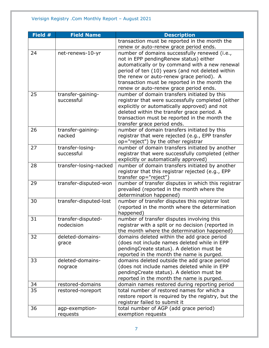| Field # | <b>Field Name</b>      | <b>Description</b>                                  |
|---------|------------------------|-----------------------------------------------------|
|         |                        | transaction must be reported in the month the       |
|         |                        | renew or auto-renew grace period ends.              |
| 24      | net-renews-10-yr       | number of domains successfully renewed (i.e.,       |
|         |                        | not in EPP pendingRenew status) either              |
|         |                        | automatically or by command with a new renewal      |
|         |                        | period of ten (10) years (and not deleted within    |
|         |                        | the renew or auto-renew grace period). A            |
|         |                        | transaction must be reported in the month the       |
|         |                        | renew or auto-renew grace period ends.              |
| 25      | transfer-gaining-      | number of domain transfers initiated by this        |
|         | successful             | registrar that were successfully completed (either  |
|         |                        | explicitly or automatically approved) and not       |
|         |                        | deleted within the transfer grace period. A         |
|         |                        | transaction must be reported in the month the       |
|         |                        | transfer grace period ends.                         |
| 26      | transfer-gaining-      | number of domain transfers initiated by this        |
|         | nacked                 | registrar that were rejected (e.g., EPP transfer    |
|         |                        | op="reject") by the other registrar                 |
| 27      | transfer-losing-       | number of domain transfers initiated by another     |
|         | successful             | registrar that were successfully completed (either  |
|         |                        | explicitly or automatically approved)               |
| 28      | transfer-losing-nacked | number of domain transfers initiated by another     |
|         |                        | registrar that this registrar rejected (e.g., EPP   |
|         |                        | transfer op="reject")                               |
| 29      | transfer-disputed-won  | number of transfer disputes in which this registrar |
|         |                        | prevailed (reported in the month where the          |
|         |                        | determination happened)                             |
| 30      | transfer-disputed-lost | number of transfer disputes this registrar lost     |
|         |                        | (reported in the month where the determination      |
|         |                        | happened)                                           |
| 31      | transfer-disputed-     | number of transfer disputes involving this          |
|         | nodecision             | registrar with a split or no decision (reported in  |
|         |                        | the month where the determination happened)         |
| 32      | deleted-domains-       | domains deleted within the add grace period         |
|         | grace                  | (does not include names deleted while in EPP        |
|         |                        | pendingCreate status). A deletion must be           |
|         |                        | reported in the month the name is purged.           |
| 33      | deleted-domains-       | domains deleted outside the add grace period        |
|         | nograce                | (does not include names deleted while in EPP        |
|         |                        | pendingCreate status). A deletion must be           |
|         |                        | reported in the month the name is purged.           |
| 34      | restored-domains       | domain names restored during reporting period       |
| 35      | restored-noreport      | total number of restored names for which a          |
|         |                        | restore report is required by the registry, but the |
|         |                        | registrar failed to submit it                       |
| 36      | agp-exemption-         | total number of AGP (add grace period)              |
|         | requests               | exemption requests                                  |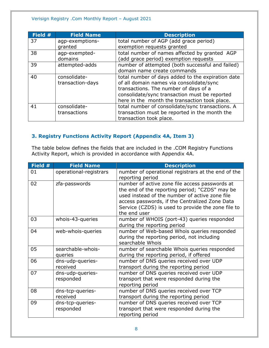| Field # | <b>Field Name</b> | <b>Description</b>                                |
|---------|-------------------|---------------------------------------------------|
| 37      | agp-exemptions-   | total number of AGP (add grace period)            |
|         | granted           | exemption requests granted                        |
| 38      | agp-exempted-     | total number of names affected by granted AGP     |
|         | domains           | (add grace period) exemption requests             |
| 39      | attempted-adds    | number of attempted (both successful and failed)  |
|         |                   | domain name create commands                       |
| 40      | consolidate-      | total number of days added to the expiration date |
|         | transaction-days  | of all domain names via consolidate/sync          |
|         |                   | transactions. The number of days of a             |
|         |                   | consolidate/sync transaction must be reported     |
|         |                   | here in the month the transaction took place.     |
| 41      | consolidate-      | total number of consolidate/sync transactions. A  |
|         | transactions      | transaction must be reported in the month the     |
|         |                   | transaction took place.                           |

# <span id="page-7-0"></span>**3. Registry Functions Activity Report (Appendix 4A, Item 3)**

The table below defines the fields that are included in the .COM Registry Functions Activity Report, which is provided in accordance with Appendix 4A.

| Field # | <b>Field Name</b>             | <b>Description</b>                                                                                                                                                                                                                                                         |
|---------|-------------------------------|----------------------------------------------------------------------------------------------------------------------------------------------------------------------------------------------------------------------------------------------------------------------------|
| 01      | operational-registrars        | number of operational registrars at the end of the<br>reporting period                                                                                                                                                                                                     |
| 02      | zfa-passwords                 | number of active zone file access passwords at<br>the end of the reporting period; "CZDS" may be<br>used instead of the number of active zone file<br>access passwords, if the Centralized Zone Data<br>Service (CZDS) is used to provide the zone file to<br>the end user |
| 03      | whois-43-queries              | number of WHOIS (port-43) queries responded<br>during the reporting period                                                                                                                                                                                                 |
| 04      | web-whois-queries             | number of Web-based Whois queries responded<br>during the reporting period, not including<br>searchable Whois                                                                                                                                                              |
| 05      | searchable-whois-<br>queries  | number of searchable Whois queries responded<br>during the reporting period, if offered                                                                                                                                                                                    |
| 06      | dns-udp-queries-<br>received  | number of DNS queries received over UDP<br>transport during the reporting period                                                                                                                                                                                           |
| 07      | dns-udp-queries-<br>responded | number of DNS queries received over UDP<br>transport that were responded during the<br>reporting period                                                                                                                                                                    |
| 08      | dns-tcp-queries-<br>received  | number of DNS queries received over TCP<br>transport during the reporting period                                                                                                                                                                                           |
| 09      | dns-tcp-queries-<br>responded | number of DNS queries received over TCP<br>transport that were responded during the<br>reporting period                                                                                                                                                                    |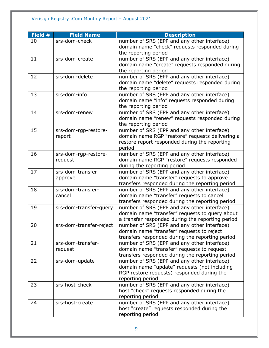| Field # | <b>Field Name</b>       | <b>Description</b>                               |
|---------|-------------------------|--------------------------------------------------|
| 10      | srs-dom-check           | number of SRS (EPP and any other interface)      |
|         |                         | domain name "check" requests responded during    |
|         |                         | the reporting period                             |
| 11      | srs-dom-create          | number of SRS (EPP and any other interface)      |
|         |                         | domain name "create" requests responded during   |
|         |                         | the reporting period                             |
| 12      | srs-dom-delete          | number of SRS (EPP and any other interface)      |
|         |                         | domain name "delete" requests responded during   |
|         |                         | the reporting period                             |
| 13      | srs-dom-info            | number of SRS (EPP and any other interface)      |
|         |                         | domain name "info" requests responded during     |
|         |                         | the reporting period                             |
| 14      | srs-dom-renew           | number of SRS (EPP and any other interface)      |
|         |                         | domain name "renew" requests responded during    |
|         |                         | the reporting period                             |
| 15      | srs-dom-rgp-restore-    | number of SRS (EPP and any other interface)      |
|         | report                  | domain name RGP "restore" requests delivering a  |
|         |                         | restore report responded during the reporting    |
|         |                         | period                                           |
| 16      | srs-dom-rgp-restore-    | number of SRS (EPP and any other interface)      |
|         | request                 | domain name RGP "restore" requests responded     |
|         |                         | during the reporting period                      |
| 17      | srs-dom-transfer-       | number of SRS (EPP and any other interface)      |
|         | approve                 | domain name "transfer" requests to approve       |
|         |                         | transfers responded during the reporting period  |
| 18      | srs-dom-transfer-       | number of SRS (EPP and any other interface)      |
|         | cancel                  | domain name "transfer" requests to cancel        |
|         |                         | transfers responded during the reporting period  |
| 19      | srs-dom-transfer-query  | number of SRS (EPP and any other interface)      |
|         |                         | domain name "transfer" requests to query about   |
|         |                         | a transfer responded during the reporting period |
| 20      | srs-dom-transfer-reject | number of SRS (EPP and any other interface)      |
|         |                         | domain name "transfer" requests to reject        |
|         |                         | transfers responded during the reporting period  |
| 21      | srs-dom-transfer-       | number of SRS (EPP and any other interface)      |
|         | request                 | domain name "transfer" requests to request       |
|         |                         | transfers responded during the reporting period  |
| 22      | srs-dom-update          | number of SRS (EPP and any other interface)      |
|         |                         | domain name "update" requests (not including     |
|         |                         | RGP restore requests) responded during the       |
|         |                         | reporting period                                 |
| 23      | srs-host-check          | number of SRS (EPP and any other interface)      |
|         |                         | host "check" requests responded during the       |
|         |                         | reporting period                                 |
| 24      | srs-host-create         | number of SRS (EPP and any other interface)      |
|         |                         | host "create" requests responded during the      |
|         |                         | reporting period                                 |